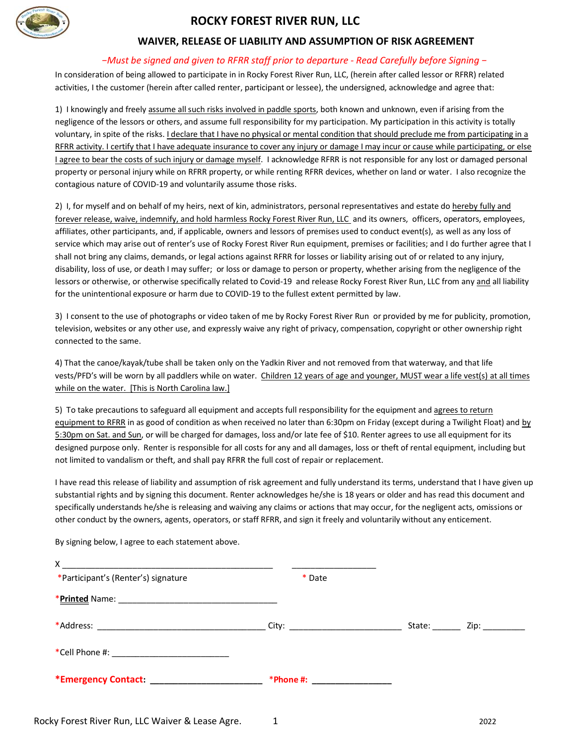

## **ROCKY FOREST RIVER RUN, LLC**

## **WAIVER, RELEASE OF LIABILITY AND ASSUMPTION OF RISK AGREEMENT**

## *−Must be signed and given to RFRR staff prior to departure - Read Carefully before Signing −*

In consideration of being allowed to participate in in Rocky Forest River Run, LLC, (herein after called lessor or RFRR) related activities, I the customer (herein after called renter, participant or lessee), the undersigned, acknowledge and agree that:

1) I knowingly and freely assume all such risks involved in paddle sports, both known and unknown, even if arising from the negligence of the lessors or others, and assume full responsibility for my participation. My participation in this activity is totally voluntary, in spite of the risks. *I declare that I have no physical or mental condition that should preclude me from participating in a* RFRR activity. I certify that I have adequate insurance to cover any injury or damage I may incur or cause while participating, or else I agree to bear the costs of such injury or damage myself. I acknowledge RFRR is not responsible for any lost or damaged personal property or personal injury while on RFRR property, or while renting RFRR devices, whether on land or water. I also recognize the contagious nature of COVID-19 and voluntarily assume those risks.

2) I, for myself and on behalf of my heirs, next of kin, administrators, personal representatives and estate do hereby fully and forever release, waive, indemnify, and hold harmless Rocky Forest River Run, LLC and its owners, officers, operators, employees, affiliates, other participants, and, if applicable, owners and lessors of premises used to conduct event(s), as well as any loss of service which may arise out of renter's use of Rocky Forest River Run equipment, premises or facilities; and I do further agree that I shall not bring any claims, demands, or legal actions against RFRR for losses or liability arising out of or related to any injury, disability, loss of use, or death I may suffer; or loss or damage to person or property, whether arising from the negligence of the lessors or otherwise, or otherwise specifically related to Covid-19 and release Rocky Forest River Run, LLC from any and all liability for the unintentional exposure or harm due to COVID-19 to the fullest extent permitted by law.

3) I consent to the use of photographs or video taken of me by Rocky Forest River Run or provided by me for publicity, promotion, television, websites or any other use, and expressly waive any right of privacy, compensation, copyright or other ownership right connected to the same.

4) That the canoe/kayak/tube shall be taken only on the Yadkin River and not removed from that waterway, and that life vests/PFD's will be worn by all paddlers while on water. Children 12 years of age and younger, MUST wear a life vest(s) at all times while on the water. [This is North Carolina law.]

5) To take precautions to safeguard all equipment and accepts full responsibility for the equipment and agrees to return equipment to RFRR in as good of condition as when received no later than 6:30pm on Friday (except during a Twilight Float) and by 5:30pm on Sat. and Sun, or will be charged for damages, loss and/or late fee of \$10. Renter agrees to use all equipment for its designed purpose only. Renter is responsible for all costs for any and all damages, loss or theft of rental equipment, including but not limited to vandalism or theft, and shall pay RFRR the full cost of repair or replacement.

I have read this release of liability and assumption of risk agreement and fully understand its terms, understand that I have given up substantial rights and by signing this document. Renter acknowledges he/she is 18 years or older and has read this document and specifically understands he/she is releasing and waiving any claims or actions that may occur, for the negligent acts, omissions or other conduct by the owners, agents, operators, or staff RFRR, and sign it freely and voluntarily without any enticement.

By signing below, I agree to each statement above.

| X.                                              |                                |                         |
|-------------------------------------------------|--------------------------------|-------------------------|
| *Participant's (Renter's) signature             | * Date                         |                         |
|                                                 |                                |                         |
|                                                 |                                | State: <u>Zip:</u> Zip: |
|                                                 |                                |                         |
| *Emergency Contact: ___________________________ | *Phone #: ____________________ |                         |
|                                                 |                                |                         |